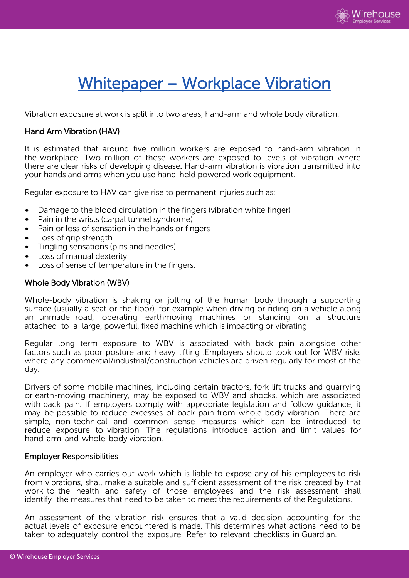

# Whitepaper – Workplace Vibration

Vibration exposure at work is split into two areas, hand-arm and whole body vibration.

## Hand Arm Vibration (HAV)

It is estimated that around five million workers are exposed to hand-arm vibration in the workplace. Two million of these workers are exposed to levels of vibration where there are clear risks of developing disease. Hand-arm vibration is vibration transmitted into your hands and arms when you use hand-held powered work equipment.

Regular exposure to HAV can give rise to permanent injuries such as:

- Damage to the blood circulation in the fingers (vibration white finger)
- Pain in the wrists (carpal tunnel syndrome)
- Pain or loss of sensation in the hands or fingers
- Loss of grip strength
- Tingling sensations (pins and needles)
- Loss of manual dexterity
- Loss of sense of temperature in the fingers.

### Whole Body Vibration (WBV)

Whole-body vibration is shaking or jolting of the human body through a supporting surface (usually a seat or the floor), for example when driving or riding on a vehicle along an unmade road, operating earthmoving machines or standing on a structure attached to a large, powerful, fixed machine which is impacting or vibrating.

Regular long term exposure to WBV is associated with back pain alongside other factors such as poor posture and heavy lifting .Employers should look out for WBV risks where any commercial/industrial/construction vehicles are driven regularly for most of the day.

Drivers of some mobile machines, including certain tractors, fork lift trucks and quarrying or earth-moving machinery, may be exposed to WBV and shocks, which are associated with back pain. If employers comply with appropriate legislation and follow guidance, it may be possible to reduce excesses of back pain from whole-body vibration. There are simple, non-technical and common sense measures which can be introduced to reduce exposure to vibration. The regulations introduce action and limit values for hand-arm and whole-body vibration.

#### Employer Responsibilities

An employer who carries out work which is liable to expose any of his employees to risk from vibrations, shall make a suitable and sufficient assessment of the risk created by that work to the health and safety of those employees and the risk assessment shall identify the measures that need to be taken to meet the requirements of the Regulations.

An assessment of the vibration risk ensures that a valid decision accounting for the actual levels of exposure encountered is made. This determines what actions need to be taken to adequately control the exposure. Refer to relevant checklists in Guardian.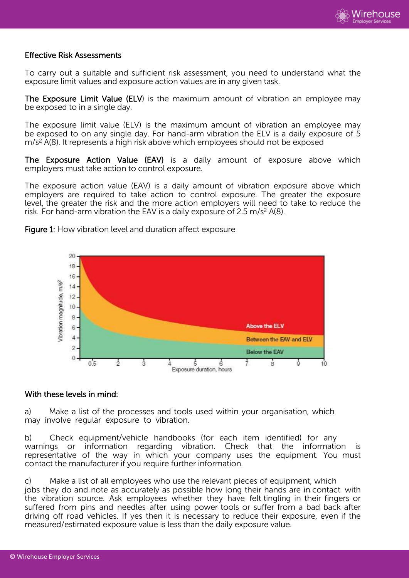

#### Effective Risk Assessments

To carry out a suitable and sufficient risk assessment, you need to understand what the exposure limit values and exposure action values are in any given task.

The Exposure Limit Value (ELV) is the maximum amount of vibration an employee may be exposed to in a single day.

The exposure limit value (ELV) is the maximum amount of vibration an employee may be exposed to on any single day. For hand-arm vibration the ELV is a daily exposure of 5 m/s <sup>2</sup> A(8). It represents a high risk above which employees should not be exposed

The Exposure Action Value (EAV) is a daily amount of exposure above which employers must take action to control exposure.

The exposure action value (EAV) is a daily amount of vibration exposure above which employers are required to take action to control exposure. The greater the exposure level, the greater the risk and the more action employers will need to take to reduce the risk. For hand-arm vibration the EAV is a daily exposure of 2.5 m/s<sup>2</sup> A(8).



Figure 1: How vibration level and duration affect exposure

#### With these levels in mind:

a) Make a list of the processes and tools used within your organisation, which may involve regular exposure to vibration.

b) Check equipment/vehicle handbooks (for each item identified) for any warnings or information regarding vibration. Check that the information is representative of the way in which your company uses the equipment. You must contact the manufacturer if you require further information.

c) Make a list of all employees who use the relevant pieces of equipment, which jobs they do and note as accurately as possible how long their hands are in contact with the vibration source. Ask employees whether they have felt tingling in their fingers or suffered from pins and needles after using power tools or suffer from a bad back after driving off road vehicles. If yes then it is necessary to reduce their exposure, even if the measured/estimated exposure value is less than the daily exposure value.